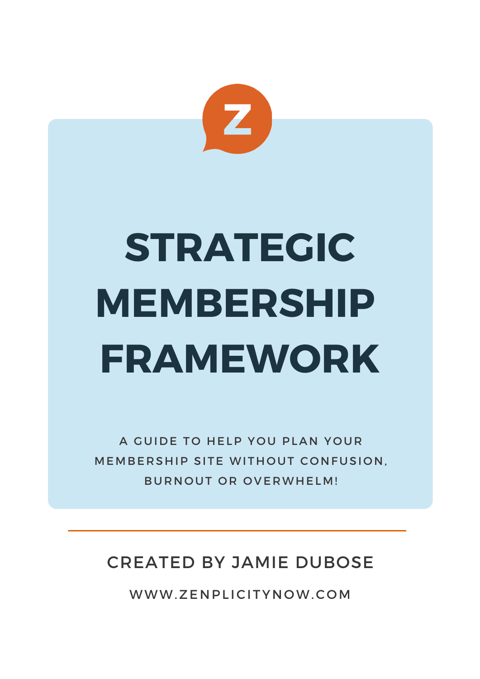

# **STRATEGIC MEMBERSHIP FRAMEWORK**

A GUIDE TO HELP YOU PLAN YOUR MEMBERSHIP SITE WITHOUT CONFUSION. BURNOUT OR OVERWHELM!

### CREATED BY JAMIE DUBOSE

WWW.ZENPLICITYNOW.COM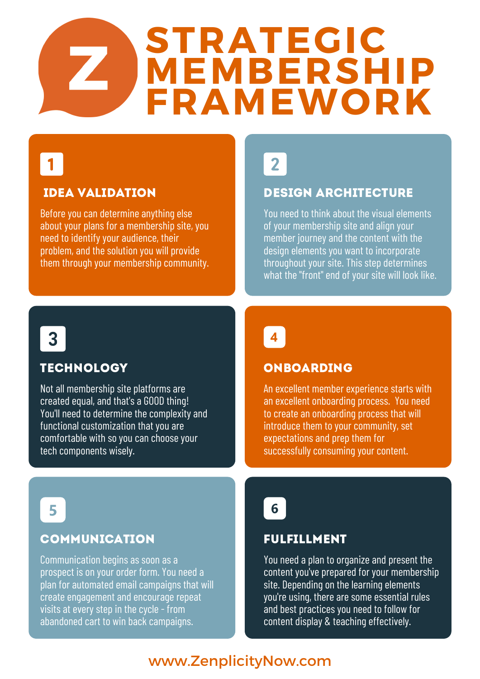## **STRATEGIC MEMBERSHIP FRAMEWORK**

## $\blacksquare$

#### idea validation

Before you can determine anything else about your plans for a membership site, you need to identify your audience, their problem, and the solution you will provide them through your membership community.



#### design architecture

You need to think about the visual elements of your membership site and align your member journey and the content with the design elements you want to incorporate throughout your site. This step determines what the "front" end of your site will look like.

3

#### **TECHNOLOGY**

Not all membership site platforms are created equal, and that's a GOOD thing! You'll need to determine the complexity and functional customization that you are comfortable with so you can choose your tech components wisely.

## $\overline{\mathbf{4}}$

#### **ONBOARDING**

An excellent member experience starts with an excellent onboarding process. You need to create an onboarding process that will introduce them to your community, set expectations and prep them for successfully consuming your content.

5

#### **COMMUNICATION**

Communication begins as soon as a prospect is on your order form. You need a plan for automated email campaigns that will create engagement and encourage repeat visits at every step in the cycle - from abandoned cart to win back campaigns.



#### Fulfillment

You need a plan to organize and present the content you've prepared for your membership site. Depending on the learning elements you're using, there are some essential rules and best practices you need to follow for content display & teaching effectively.

#### www.ZenplicityNow.com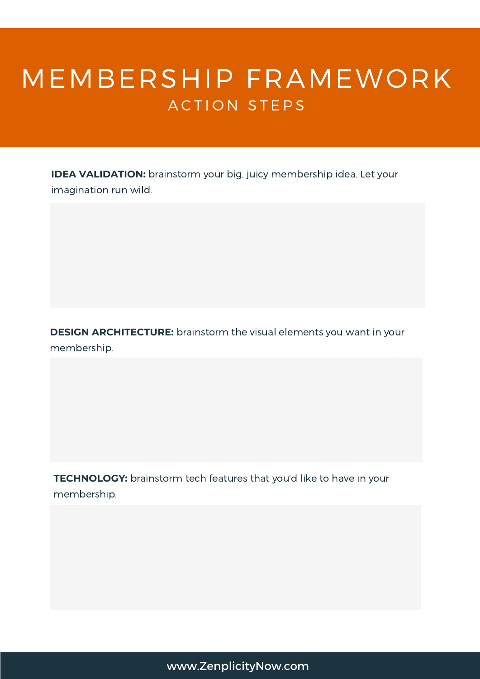## MEMBERSHIP FRAMEWORK ACTION STEPS

**IDEA VALIDATION:** brainstorm your big, juicy membership idea. Let your imagination run wild.

**DESIGN ARCHITECTURE:** brainstorm the visual elements you want in your membership.

**TECHNOLOGY:** brainstorm tech features that you'd like to have in your membership.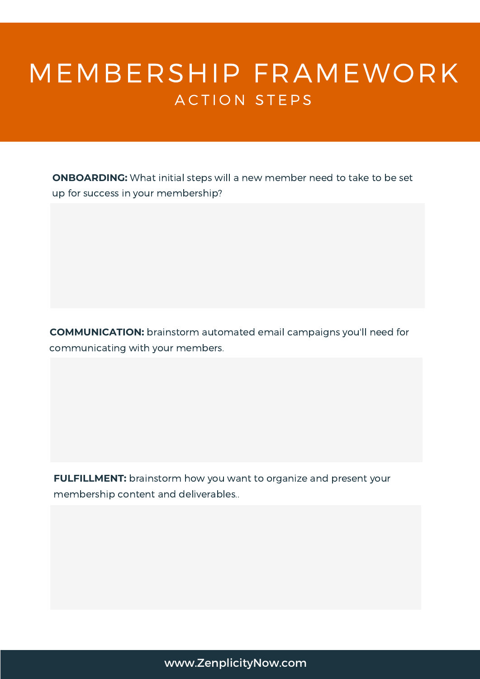### MEMBERSHIP FRAMEWORK ACTION STEPS

**ONBOARDING:** What initial steps will a new member need to take to be set up for success in your membership?

**COMMUNICATION:** brainstorm automated email campaigns you'll need for communicating with your members.

**FULFILLMENT:** brainstorm how you want to organize and present your membership content and deliverables..

#### www.ZenplicityNow.com